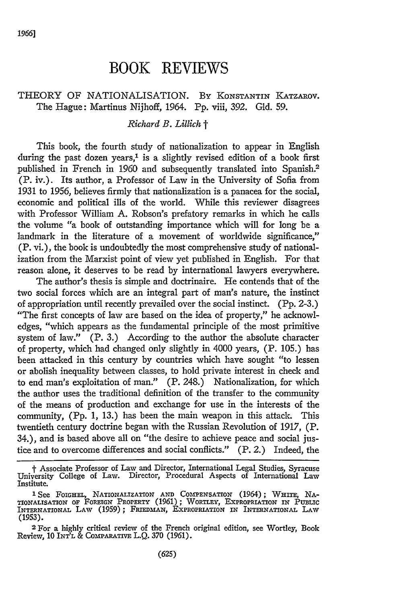# **BOOK REVIEWS**

## THEORY OF NATIONALISATION. By **KONSTANTIN** KATZAROV. The Hague: Martinus Nijhoff, 1964. Pp. viii, 392. Gid. 59.

# *Richard B. Lillich t*

This book, the fourth study of nationalization to appear in English during the past dozen years,<sup>1</sup> is a slightly revised edition of a book first published in French in 1960 and subsequently translated into Spanish.2 (P. iv.). Its author, a Professor of Law in the University of Sofia from 1931 to 1956, believes firmly that nationalization is a panacea for the social, economic and political ills of the world. While this reviewer disagrees with Professor William A. Robson's prefatory remarks in which he calls the volume "a book of outstanding importance which will for long be a landmark in the literature of a movement of worldwide significance," (P. vi.), the book is undoubtedly the most comprehensive study of nationalization from the Marxist point of view yet published in English. For that reason alone, it deserves to be read by international lawyers everywhere.

The author's thesis is simple and doctrinaire. He contends that of the two social forces which are an integral part of man's nature, the instinct of appropriation until recently prevailed over the social instinct. (Pp. 2-3.) "The first concepts of law are based on the idea of property," he acknowledges, "which appears as the fundamental principle of the most primitive system of law." (P. 3.) According to the author the absolute character of property, which had changed only slightly in 4000 years, (P. 105.) has been attacked in this century by countries which have sought "to lessen or abolish inequality between classes, to hold private interest in check and to end man's exploitation of man." (P. 248.) Nationalization, for which the author uses the traditional definition of the transfer to the community of the means of production and exchange for use in the interests of the community, (Pp. *1,* 13.) has been the main weapon in this attack. This twentieth century doctrine began with the Russian Revolution of 1917, (P. 34.), and is based above all on "the desire to achieve peace and social justice and to overcome differences and social conflicts." (P. 2.) Indeed, the

t Associate Professor of Law and Director, International Legal Studies, Syracuse University College of Law. Director, Procedural Aspects of International Law Institute.

**<sup>1</sup>** See FOIGHEL, NATIONALIZATION **AND** COMPENSATION (1964); WHITE, **NA-**TIONALISATION **OF** FOREIGN **PROPERTY** (1961); WORTLEY, EXPROPRIATION **IN** PuBLIc INTERNATIONAL LAW (1959); FRIEDMAN, EXPROPRIATION **IN** INTERNATIONAL LAW (1953).

<sup>2</sup> For a highly critical review of the French original edition, see Wortley, Book Review, 10 *INTL* & **ComPARATivE** L.Q. 370 (1961).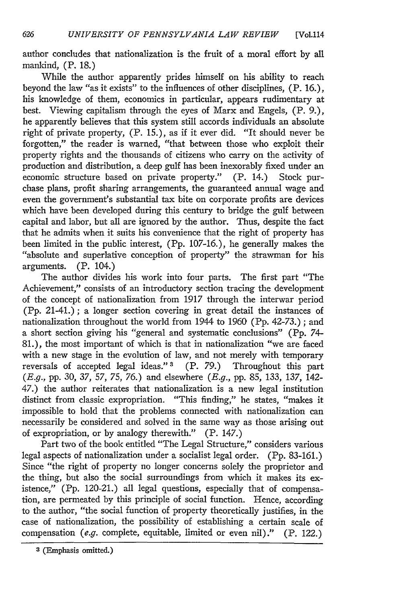author concludes that nationalization is the fruit of a moral effort by all mankind, (P. 18.)

While the author apparently prides himself on his ability to reach beyond the law "as it exists" to the influences of other disciplines, (P. 16.), his knowledge of them, economics in particular, appears rudimentary at best. Viewing capitalism through the eyes of Marx and Engels, (P. 9.), he apparently believes that this system still accords individuals an absolute right of private property, (P. 15.), as if it ever did. "It should never be forgotten," the reader is warned, "that between those who exploit their property rights and the thousands of citizens who carry on the activity of production and distribution, a deep gulf has been inexorably fixed under an economic structure based on private property." (P. 14.) Stock purchase plans, profit sharing arrangements, the guaranteed annual wage and even the government's substantial tax bite on corporate profits are devices which have been developed during this century to bridge the gulf between capital and labor, but all are ignored by the author. Thus, despite the fact that he admits when it suits his convenience that the right of property has been limited in the public interest, (Pp. 107-16.), he generally makes the "absolute and superlative conception of property" the strawman for his arguments. (P. 104.)

The author divides his work into four parts. The first part "The Achievement," consists of an introductory section tracing the development of the concept of nationalization from 1917 through the interwar period (Pp. 21-41.); a longer section covering in great detail the instances of nationalization throughout the world from 1944 to 1960 (Pp. 42-73.) ; and a short section giving his "general and systematic conclusions" (Pp. 74- 81.), the most important of which is that in nationalization "we are faced with a new stage in the evolution of law, and not merely with temporary reversals of accepted legal ideas."<sup>3</sup> (P. 79.) Throughout this part (E.g., pp. *30, 37,* 57, 75, 76.) and elsewhere (E.g., pp. 85, 133, 137, 142- 47.) the author reiterates that nationalization is a new legal institution distinct from classic expropriation. "This finding," he states, "makes it impossible to hold that the problems connected with nationalization can necessarily be considered and solved in the same way as those arising out of expropriation, or by analogy therewith." (P. 147.)

Part two of the book entitled "The Legal Structure," considers various legal aspects of nationalization under a socialist legal order. (Pp. 83-161.) Since "the right of property no longer concerns solely the proprietor and the thing, but also the social surroundings from which it makes its existence," (Pp. 120-21.) all legal questions, especially that of compensation, are permeated by this principle of social function. Hence, according to the author, "the social function of property theoretically justifies, in the case of nationalization, the possibility of establishing a certain scale of compensation (e.g. complete, equitable, limited or even nil)." (P. 122.)

**<sup>3</sup>** (Emphasis omitted.)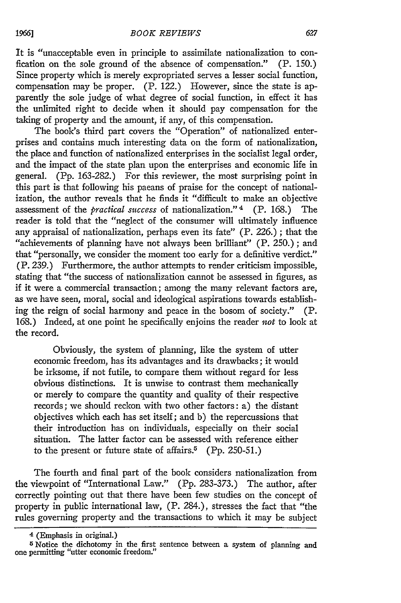It is "unacceptable even in principle to assimilate nationalization to confication on the sole ground of the absence of compensation." (P. 150.) Since property which is merely expropriated serves a lesser social function, compensation may be proper. (P. 122.) However, since the state is apparently the sole judge of what degree of social function, in effect it has the unlimited right to decide when it should pay compensation for the taking of property and the amount, if any, of this compensation.

The book's third part covers the "Operation" of nationalized enterprises and contains much interesting data on the form of nationalization, the place and function of nationalized enterprises in the socialist legal order, and the impact of the state plan upon the enterprises and economic life in general. (Pp. 163-282.) For this reviewer, the most surprising point in this part is that following his paeans of praise for the concept of nationalization, the author reveals that he finds it "difficult to make an objective assessment of the *practical success* of nationalization." <sup>4</sup>**(P.** 168.) The reader is told that the "neglect of the consumer will ultimately influence any appraisal of nationalization, perhaps even its fate" (P. 226.) ; that the "achievements of planning have not always been brilliant" (P. 250.); and that "personally, we consider the moment too early for a definitive verdict." (P. 239.) Furthermore, the author attempts to render criticism impossible, stating that "the success of nationalization cannot be assessed in figures, as if it were a commercial transaction; among the many relevant factors are, as we have seen, moral, social and ideological aspirations towards establishing the reign of social harmony and peace in the bosom of society." (P. 168.) Indeed, at one point he specifically enjoins the reader *not* to look at the record.

Obviously, the system of planning, like the system of utter economic freedom, has its advantages and its drawbacks; it would be irksome, if not futile, to compare them without regard for less obvious distinctions. It is unwise to contrast them mechanically or merely to compare the quantity and quality of their respective records; we should reckon with two other factors: a) the distant objectives which each has set itself; and b) the repercussions that their introduction has on individuals, especially on their social situation. The latter factor can be assessed with reference either to the present or future state of affairs. $5$  (Pp. 250-51.)

The fourth and final part of the book considers nationalization from the viewpoint of "International Law." (Pp. 283-373.) The author, after correctly pointing out that there have been few studies on the concept of property in public international law, (P. 284.), stresses the fact that "the rules governing property and the transactions to which it may be subject

<sup>4 (</sup>Emphasis in original.) **<sup>5</sup>**Notice the dichotomy in the first sentence between a system of planning and one permitting "utter economic freedom."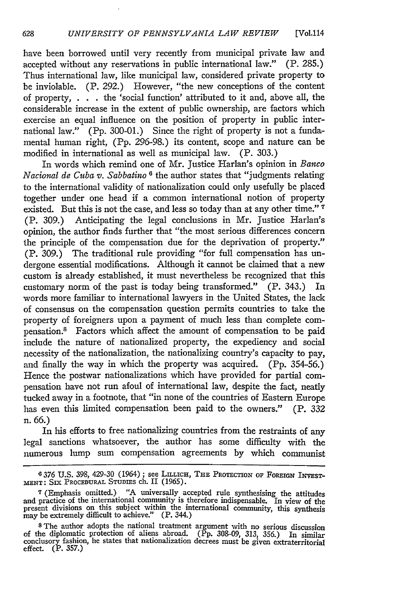have been borrowed until very recently from municipal private law and accepted without any reservations in public international law." (P. 285.) Thus international law, like municipal law, considered private property to be inviolable. (P. 292.) However, "the new conceptions of the content of property, . **.** . the 'social function' attributed to it and, above all, the considerable increase in the extent of public ownership, are factors which exercise an equal influence on the position of property in public international law." (Pp. 300-01.) Since the right of property is not a fundamental human right, (Pp. 296-98.) its content, scope and nature can be modified in international as well as municipal law. (P. 303.)

In words which remind one of Mr. Justice Harlan's opinion in *Banco Nacional de Cuba v. Sabbatino*<sup>6</sup> the author states that "judgments relating to the international validity of nationalization could only usefully be placed together under one head if a common international notion of property existed. But this is not the case, and less so today than at any other time." **7** (P. 309.) Anticipating the legal conclusions in Mr. Justice Harlan's opinion, the author finds further that "the most serious differences concern the principle of the compensation due for the deprivation of property." (P. 309.) The traditional rule providing "for full compensation has undergone essential modifications. Although it cannot be claimed that a new custom is already established, it must nevertheless be recognized that this customary norm of the past is today being transformed." (P. 343.) In words more familiar to international lawyers in the United States, the lack of consensus on the compensation question permits countries to take the property of foreigners upon a payment of much less than complete compensation. 8 Factors which affect the amount of compensation to be paid include the nature of nationalized property, the expediency and social necessity of the nationalization, the nationalizing country's capacity to pay, and finally the way in which the property was acquired. (Pp. 354-56.) Hence the postwar nationalizations which have provided for partial compensation have not run afoul of international law, despite the fact, neatly tucked away in a footnote, that "in none of the countries of Eastern Europe has even this limited compensation been paid to the owners." (P. 332 n. 66.)

In his efforts to free nationalizing countries from the restraints of any legal sanctions whatsoever, the author has some difficulty with the numerous lump sum compensation agreements by which communist

**<sup>0</sup>** 376 **U.S.** 398, 429-30 (1964) ; see LILLIcH, THE PROTECTION OF **FOREIGN INVEST-MENT:** SIX PROCEDURAL STUDIES ch. II (1965).

**<sup>7</sup>**(Emphasis omitted.) **"A** universally accepted rule synthesising the attitudes and practice of the international community is therefore indispensable. In view of the present divisions on this subject within the international community, this synthesis may be extremely difficult to achieve." (P. 344.)

**<sup>8</sup>** The author adopts the national treatment argument with no serious discussion of the diplomatic protection of aliens abroad. (Pp. 308-09, 313, 356.) In similar conclusory fashion, he states that nationalization decrees must be given extraterritorial effect. (P. **357.)**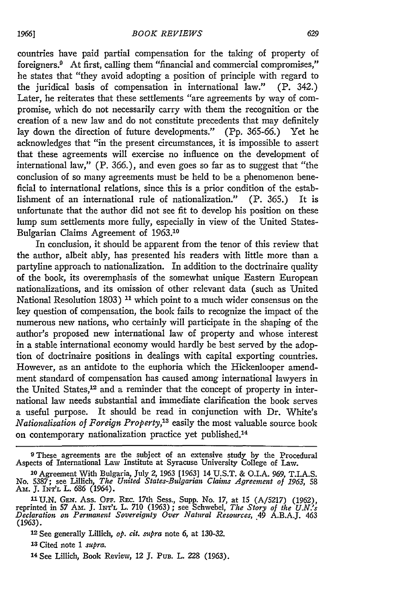countries have paid partial compensation for the taking of property of foreigners." At first, calling them "financial and commercial compromises," he states that "they avoid adopting a position of principle with regard to the juridical basis of compensation in international law." (P. 342.) Later, he reiterates that these settlements "are agreements by way of compromise, which do not necessarily carry with them the recognition or the creation of a new law and do not constitute precedents that may definitely lay down the direction of future developments." (Pp. 365-66.) Yet he acknowledges that "in the present circumstances, it is impossible to assert that these agreements will exercise no influence on the development of international law," (P. 366.), and even goes so far as to suggest that "the conclusion of so many agreements must be held to be a phenomenon beneficial to international relations, since this is a prior condition of the establishment of an international rule of nationalization." (P. 365.) It is unfortunate that the author did not see fit to develop his position on these lump sum settlements more fully, especially in view of the United States-Bulgarian Claims Agreement of 1963.10

In conclusion, it should be apparent from the tenor of this review that the author, albeit ably, has presented his readers with little more than a partyline approach to nationalization. In addition to the doctrinaire quality of the book, its overemphasis of the somewhat unique Eastern European nationalizations, and its omission of other relevant data (such as United National Resolution 1803) *11* which point to a much wider consensus on the key question of compensation, the book fails to recognize the impact of the numerous new nations, who certainly will participate in the shaping of the author's proposed new international law of property and whose interest in a stable international economy would hardly be best served by the adoption of doctrinaire positions in dealings with capital exporting countries. However, as an antidote to the euphoria which the Hickenlooper amendment standard of compensation has caused among international lawyers in the United States, $^{12}$  and a reminder that the concept of property in international law needs substantial and immediate clarification the book serves a useful purpose. It should be read in conjunction with Dr. White's *Nationalisation of Foreign Property,13* easily the most valuable source book on contemporary nationalization practice yet published.<sup>14</sup>

**9** These agreements are the subject of an extensive study by the Procedural Aspects of International Law Institute at Syracuse University College of Law.

**<sup>13</sup>**Cited note 1 *supra.*

14 See Lillich, Book Review, 12 **J. PuB.** L. 228 (1963).

**<sup>3</sup>o** Agreement With Bulgaria, July *2, 1963* [1963] 14 U.S.T. & O.I.A. 969, T.I.A.S. No. 5387; see Lillich, *The United States-Bulgarian Claims Agreement of 1963,* 58 Am. **J. IN L** L. 686 (1964).

<sup>&</sup>lt;sup>11</sup> U.N. GEN. Ass. OFF. REC. 17th Sess., Supp. No. 17, at 15 (A/5217) (1962), reprinted in 57 AM. J. INT'L L. 710 (1963); see Schwebel, *The Story of the U.N.'s*<br>Declaration on Permanent Sovereignty Over Natural Resources (1963).

*<sup>12</sup>*See generally Lillich, *op. cit. supra* note 6, at 130-32.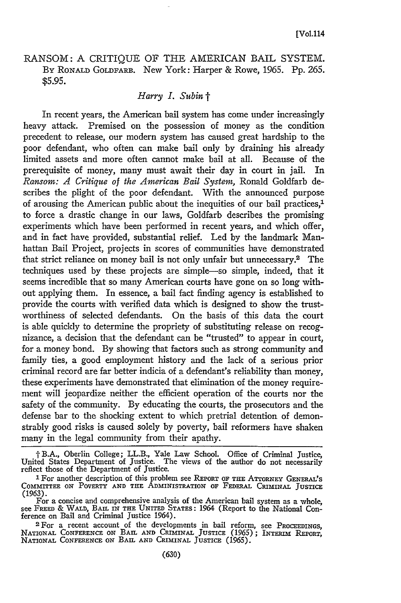### RANSOM: A CRITIQUE OF THE AMERICAN BAIL SYSTEM. By RONALD GOLDFARB. New York: Harper & Rowe, 1965. Pp. 265. **\$5.95.**

#### *Harry I. Subin j*

In recent years, the American bail system has come under increasingly heavy attack. Premised on the possession of money as the condition precedent to release, our modern system has caused great hardship to the poor defendant, who often can make bail only by draining his already limited assets and more often cannot make bail at all. Because of the prerequisite of money, many must await their day in court in jail. In *Ransom: A Critique of the American Bail System,* Ronald Goldfarb describes the plight of the poor defendant. With the announced purpose of arousing the American public about the inequities of our bail practices, $<sup>1</sup>$ </sup> to force a drastic change in our laws, Goldfarb describes the promising experiments which have been performed in recent years, and which offer, and in fact have provided, substantial relief. Led by the landmark Manhattan Bail Project, projects in scores of communities have demonstrated that strict reliance on money bail is not only unfair but unnecessary.2 The techniques used by these projects are simple-so simple, indeed, that it seems incredible that so many American courts have gone on so long without applying them. In essence, a bail fact finding agency is established to provide the courts with verified data which is designed to show the trustworthiness of selected defendants. On the basis of this data the court is able quickly to determine the propriety of substituting release on recognizance, a decision that the defendant can be "trusted" to appear in court, for a money bond. By showing that factors such as strong community and family ties, a good employment history and the lack of a serious prior criminal record are far better indicia of a defendant's reliability than money, these experiments have demonstrated that elimination of the money requirement will jeopardize neither the efficient operation of the courts nor the safety of the community. By educating the courts, the prosecutors and the defense bar to the shocking extent to which pretrial detention of demonstrably good risks is caused solely by poverty, bail reformers have shaken many in the legal community from their apathy.

<sup>&</sup>lt;sup>+</sup> B.A., Oberlin College; LL.B., Yale Law School. Office of Criminal Justice United States Department of Justice. The views of the author do not necessarily reflect those of the Department of Justice.

**<sup>1</sup>** For another description of this problem see **REPORT** OF **THE** ATTORNEY GENERAL'S COMMITTE **ON** POVERTY **AND** THE ADMINISTRATION OF FEDERAL CRIMINAL JUSTICE

<sup>(1963).</sup> For a concise and comprehensive analysis of the American bail system as a whole, see FREED & WALD, BAIL IN **THE UNITED STATES:** 1964 (Report to the National Conference on Bail and Criminal Justice 1964).

**<sup>2</sup> For a recent account of the developments in bail reform, see PROCEEDINGS** NATIONAL **CONFERENCE ON BAIL AND** CRIMINAL JUSTICE (1965); INTERIM **REPORT,** NATIONAL CONFERENCE **ON** BAIL **AND** CRIMINAL JUSTICE (1965).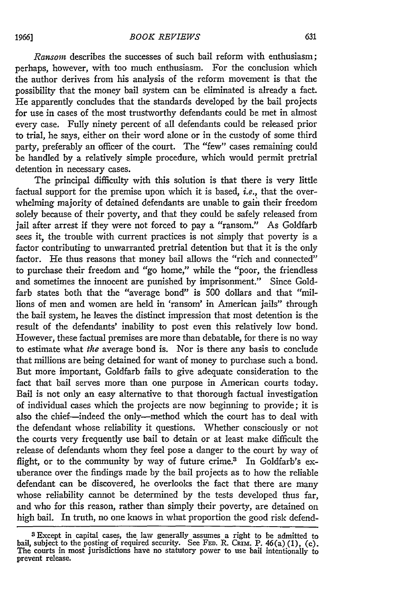*Ransom* describes the successes of such bail reform with enthusiasm; perhaps, however, with too much enthusiasm. For the conclusion which the author derives from his analysis of the reform movement is that the possibility that the money bail system can be eliminated is already a fact. He apparently concludes that the standards developed **by** the bail projects for use in cases of the most trustworthy defendants could be met in almost every case. Fully ninety percent of all defendants could be released prior to trial, he says, either on their word alone or in the custody of some third party, preferably an officer of the court. The "few" cases remaining could be handled **by** a relatively simple procedure, which would permit pretrial detention in necessary cases.

The principal difficulty with this solution is that there is very little factual support for the premise upon which it is based, *i.e.,* that the overwhelming majority of detained defendants are unable to gain their freedom solely because of their poverty, and that they could be safely released from jail after arrest if they were not forced to pay a "ransom." As Goldfarb sees it, the trouble with current practices is not simply that poverty is a factor contributing to unwarranted pretrial detention but that it is the only factor. He thus reasons that money bail allows the "rich and connected" to purchase their freedom and "go home," while the "poor, the friendless and sometimes the innocent are punished **by** imprisonment." Since Goldfarb states both that the "average bond" is **500** dollars and that "millions of men and women are held in 'ransom' in American jails" through the bail system, he leaves the distinct impression that most detention is the result of the defendants' inability to post even this relatively low bond. However, these factual premises are more than debatable, for there is no way to estimate what *the* average bond is. Nor is there any basis to conclude that millions are being detained for want of money to purchase such a bond. But more important, Goldfarb fails to give adequate consideration to the fact that bail serves more than one purpose in American courts today. Bail is not only an easy alternative to that thorough factual investigation of individual cases which the projects are now beginning to provide; it is also the chief-indeed the only--method which the court has to deal with the defendant whose reliability it questions. Whether consciously or not the courts very frequently use bail to detain or at least make difficult the release of defendants whom they feel pose a danger to the court **by** way of flight, or to the community by way of future crime.<sup>3</sup> In Goldfarb's exuberance over the findings made **by** the bail projects as to how the reliable defendant can be discovered, he overlooks the fact that there are many whose reliability cannot be determined **by** the tests developed thus far, and who for this reason, rather than simply their poverty, are detained on high bail. In truth, no one knows in what proportion the good risk defend-

**<sup>3</sup>**Except in capital cases, the **law** generally assumes a right to be admitted to bail, subject to the posting of required security. See FED. R. CRIM. P. 46(a) (1), (c). The courts in most jurisdictions have no statutory power to use bail intentionally to prevent release.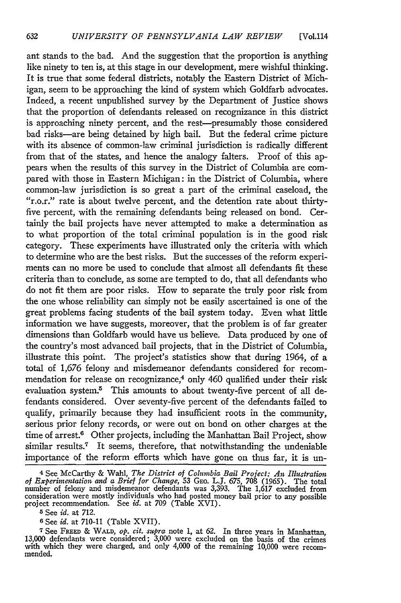ant stands to the bad. And the suggestion that the proportion is anything like ninety to ten is, at this stage in our development, mere wishful thinking. It is true that some federal districts, notably the Eastern District of Michigan, seem to be approaching the kind of system which Goldfarb advocates. Indeed, a recent unpublished survey by the Department of Justice shows that the proportion of defendants released on recognizance in this district is approaching ninety percent, and the rest-presumably those considered bad risks-are being detained by high bail. But the federal crime picture with its absence of common-law criminal jurisdiction is radically different from that of the states, and hence the analogy falters. Proof of this appears when the results of this survey in the District of Columbia are compared with those in Eastern Michigan: in the District of Columbia, where common-law jurisdiction is so great a part of the criminal caseload, the "r.o.r." rate is about twelve percent, and the detention rate about thirtyfive percent, with the remaining defendants being released on bond. Certainly the bail projects have never attempted to make a determination as to what proportion of the total criminal population is in the good risk category. These experiments have illustrated only the criteria with which to determine who are the best risks. But the successes of the reform experiments can no more be used to conclude that almost all defendants fit these criteria than to conclude, as some are tempted to do, that all defendants who do not fit them are poor risks. How to separate the truly poor risk from the one whose reliability can simply not be easily ascertained is one of the great problems facing students of the bail system today. Even what little information we have suggests, moreover, that the problem is of far greater dimensions than Goldfarb would have us believe. Data produced by one of the country's most advanced bail projects, that in the District of Columbia, illustrate this point. The project's statistics show that during 1964, of a total of 1,676 felony and misdemeanor defendants considered for recommendation for release on recognizance, $4$  only 460 qualified under their risk evaluation system.<sup>5</sup> This amounts to about twenty-five percent of all defendants considered. Over seventy-five percent of the defendants failed to qualify, primarily because they had insufficient roots in the community, serious prior felony records, or were out on bond on other charges at the time of arrest.<sup>6</sup> Other projects, including the Manhattan Bail Project, show similar results.<sup>7</sup> It seems, therefore, that notwithstanding the undeniable importance of the reform efforts which have gone on thus far, it is un-

<sup>4</sup> See McCarthy & Wahl, *The District of Columbia Bail Project: An Illustration of Experimentation and a Brief for Change,* 53 GEo. L.J. 675, 708 (1965). The total number of felony and misdemeanor defendants was 3,393. The 1,617 excluded from consideration were mostly individuals who had posted money bail prior to any possible project recommendation. See *id.* at 709 (Table XVI).

**<sup>5</sup>** See *id.* at 712.

**<sup>6</sup>** See *id.* at 710-11 (Table XVII).

<sup>&</sup>lt;sup>7</sup> See FREED & WALD, *op. cit. supra* note 1, at 62. In three years in Manhattan, 13,000 defendants were considered; 3,000 were excluded on the basis of the crimes with which they were charged, and only 4,000 of the remaining 10,000 were recom-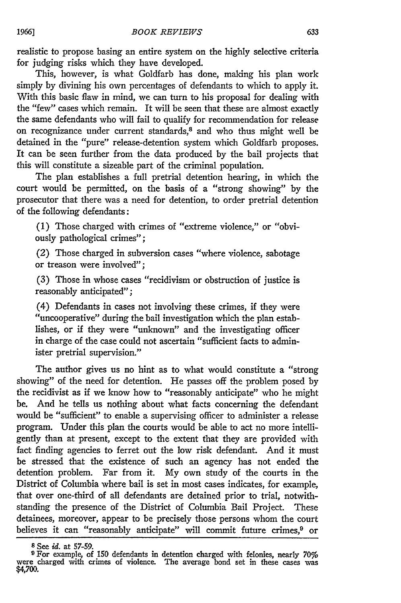realistic to propose basing an entire system on the highly selective criteria for judging risks which they have developed.

This, however, is what Goldfarb has done, making his plan work simply by divining his own percentages of defendants to which to apply it. With this basic flaw in mind, we can turn to his proposal for dealing with the "few" cases which remain. It will be seen that these are almost exactly the same defendants who will fail to qualify for recommendation for release on recognizance under current standards,<sup>8</sup> and who thus might well be detained in the "pure" release-detention system which Goldfarb proposes. It can be seen further from the data produced by the bail projects that this will constitute a sizeable part of the criminal population.

The plan establishes a full pretrial detention hearing, in which the court would be permitted, on the basis of a "strong showing" by the prosecutor that there was a need for detention, to order pretrial detention of the following defendants:

(1) Those charged with crimes of "extreme violence," or "obviously pathological crimes";

(2) Those charged in subversion cases "where violence, sabotage or treason were involved";

(3) Those in whose cases "recidivism or obstruction of justice is reasonably anticipated";

(4) Defendants in cases not involving these crimes, if they were "uncooperative" during the bail investigation which the plan establishes, or if they were "unknown" and the investigating officer in charge of the case could not ascertain "sufficient facts to administer pretrial supervision."

The author gives us no hint as to what would constitute a "strong showing" of the need for detention. He passes off the problem posed by the recidivist as if we know how to "reasonably anticipate" who he might be. And he tells us nothing about what facts concerning the defendant would be "sufficient" to enable a supervising officer to administer a release program. Under this plan the courts would be able to act no more intelligently than at present, except to the extent that they are provided with fact finding agencies to ferret out the low risk defendant. And it must be stressed that the existence of such an agency has not ended the detention problem. Far from it. My own study of the courts in the District of Columbia where bail is set in most cases indicates, for example, that over one-third of all defendants are detained prior to trial, notwithstanding the presence of the District of Columbia Bail Project. These detainees, moreover, appear to be precisely those persons whom the court believes it can "reasonably anticipate" will commit future crimes,<sup>9</sup> or

**<sup>8</sup>**See *id.* at 57-59.

**<sup>9</sup>** For example, of 150 defendants in detention charged with felonies, nearly 70% were charged with crimes of violence. The average bond set in these cases was \$4,700.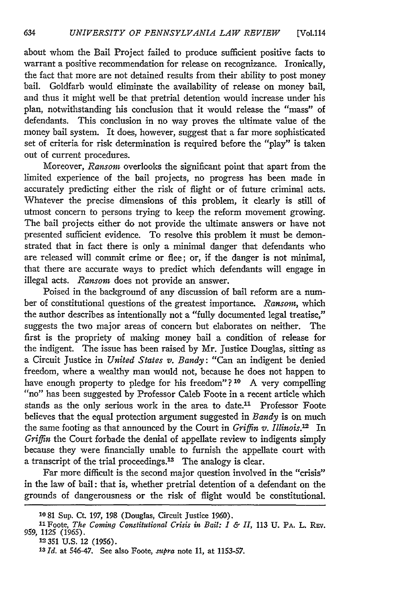about whom the Bail Project failed to produce sufficient positive facts to warrant a positive recommendation for release on recognizance. Ironically, the fact that more are not detained results from their ability to post money bail. Goldfarb would eliminate the availability of release on money bail, and thus it might well be that pretrial detention would increase under his plan, notwithstanding his conclusion that it would release the "mass" of defendants. This conclusion in no way proves the ultimate value of the money bail system. It does, however, suggest that a far more sophisticated set of criteria for risk determination is required before the "play" is taken out of current procedures.

Moreover, *Ransom* overlooks the significant point that apart from the limited experience of the bail projects, no progress has been made in accurately predicting either the risk of flight or of future criminal acts. Whatever the precise dimensions of this problem, it clearly is still of utmost concern to persons trying to keep the reform movement growing. The bail projects either do not provide the ultimate answers or have not presented sufficient evidence. To resolve this problem it must be demonstrated that in fact there is only a minimal danger that defendants who are released will commit crime or flee; or, if the danger is not minimal, that there are accurate ways to predict which defendants will engage in illegal acts. *Ransom* does not provide an answer.

Poised in the background of any discussion of bail reform are a number of constitutional questions of the greatest importance. *Ransom,* which the author describes as intentionally not a "fully documented legal treatise," suggests the two major areas of concern but elaborates on neither. The first is the propriety of making money bail a condition of release for the indigent. The issue has been raised **by** Mr. Justice Douglas, sitting as a Circuit Justice in *United States v. Bandy:* "Can an indigent be denied freedom, where a wealthy man would not, because he does not happen to have enough property to pledge for his freedom"? **' 0 A** very compelling "no" has been suggested **by** Professor Caleb Foote in a recent article which stands as the only serious work in the area to date.<sup>11</sup> Professor Foote believes that the equal protection argument suggested in *Bandy* is on much the same footing as that announced **by** the Court in *Griffin v. Illinois.12* In *Griffin* the Court forbade the denial of appellate review to indigents simply because they were financially unable to furnish the appellate court with a transcript of the trial proceedings.<sup>13</sup> The analogy is clear.

Far more difficult is the second major question involved in the "crisis" in the law of bail: that is, whether pretrial detention of a defendant on the grounds of dangerousness or the risk of flight would be constitutional.

**<sup>31</sup>**81 Sup. Ct. 197, 198 (Douglas, Circuit Justice 1960).

<sup>11</sup> Foote, *The Corning Constitutional Crisis in Bail: I & II,* 113 **U.** PA. L. REV. 959, 1125 (1965).

**<sup>1-2</sup>** 351 U.S. 12 (1956).

**<sup>13</sup>** *Id.* at 546-47. See also Foote, *supra* note 11, at 1153-57.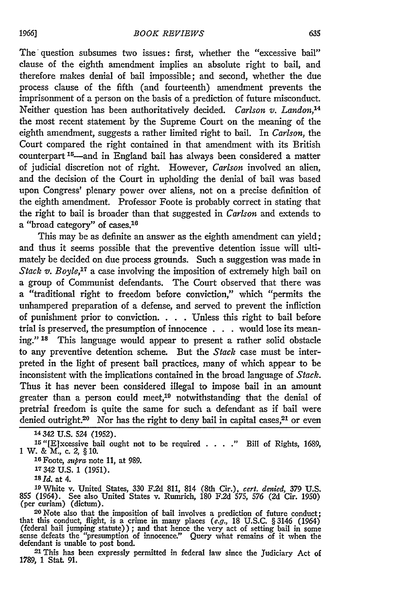The question subsumes two issues: first, whether the "excessive bail" clause of the eighth amendment implies an absolute right to bail, and therefore makes denial of bail impossible; and second, whether the due process clause of the fifth (and fourteenth) amendment prevents the imprisonment of a person on the basis of a prediction of future misconduct. Neither question has been authoritatively decided. *Carlson v. Landon,14* the most recent statement **by** the Supreme Court on the meaning of the eighth amendment, suggests a rather limited right to bail. In *Carlson,* the Court compared the right contained in that amendment with its British counterpart  $15$ —and in England bail has always been considered a matter of judicial discretion not of right. However, *Carlson* involved an alien, and the decision of the Court in upholding the denial of bail was based upon Congress' plenary power over aliens, not on a precise definition of the eighth amendment. Professor Foote is probably correct in stating that the right to bail is broader than that suggested in *Carlson* and extends to a "broad category" of cases.<sup>16</sup>

This may be as definite an answer as the eighth amendment can yield; and thus it seems possible that the preventive detention issue will ultimately be decided on due process grounds. Such a suggestion was made in *Stack v. Boyle*,<sup>17</sup> a case involving the imposition of extremely high bail on a group of Communist defendants. The Court observed that there was a "traditional right to freedom before conviction," which "permits the unhampered preparation of a defense, and served to prevent the infliction of punishment prior to conviction. **. . .** Unless this right to bail before trial is preserved, the presumption of innocence **. . .** would lose its meaning." **18** This language would appear to present a rather solid obstacle to any preventive detention scheme. But the *Stack* case must be interpreted in the light of present bail practices, many of which appear to be inconsistent with the implications contained in the broad language of *Stack.* Thus it has never been considered illegal to impose bail in an amount greater than a person could meet,<sup>19</sup> notwithstanding that the denial of pretrial freedom is quite the same for such a defendant as if bail were denied outright.<sup>20</sup> Nor has the right to deny bail in capital cases,<sup>21</sup> or even

<sup>14</sup>**342 U.S.** 524 (1952).

**<sup>15</sup>**"[Elxcessive bail ought not to be required .... " Bill of Rights, 1689, **1** W. & M., c. *2,* § 10.

**<sup>16</sup>**Foote, *supra* note 11, at 989.

**<sup>17</sup>**342 U.S. 1 (1951). *<sup>1</sup>*

*8* **Id.** at 4.

**<sup>19</sup>**White v. United States, 330 F.2d 811, 814 (8th Cir.), *cert. denied, 379* **U.S.** 855 (1964). See also United States v. Rumrich, 180 F.2d 575, 576 (2d Cir. 1950) (per curiam) (dictum).

2oNote also that the imposition of bail involves a prediction of future conduct; that this conduct, flight, is a crime in many places  $(e.g., 18 \text{ U.S.C. } \S 3146 \ (1964)$ <br>(federal bail jumping statute)); and that hence the very act of setting bail in some<br>sense defeats the "presumption of innocence." Query

**21** This has been expressly permitted in federal law since the Judiciary Act of 1789, 1 Stat. **91.**